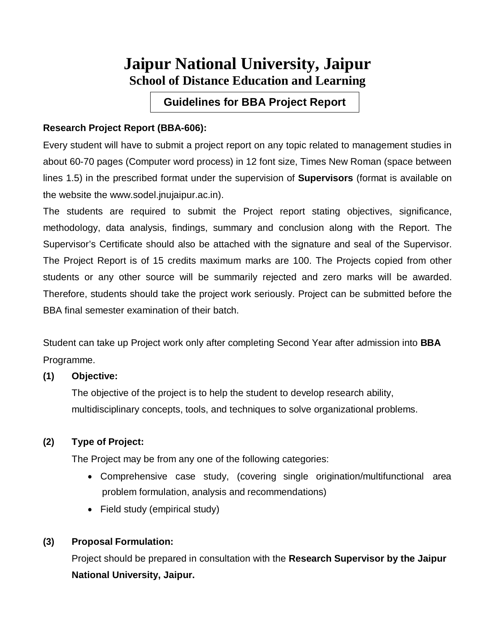## **Jaipur National University, Jaipur School of Distance Education and Learning**

**Guidelines for BBA Project Report**

#### **Research Project Report (BBA-606):**

Every student will have to submit a project report on any topic related to management studies in about 60-70 pages (Computer word process) in 12 font size, Times New Roman (space between lines 1.5) in the prescribed format under the supervision of **Supervisors** (format is available on the website the www.sodel.jnujaipur.ac.in).

The students are required to submit the Project report stating objectives, significance, methodology, data analysis, findings, summary and conclusion along with the Report. The Supervisor's Certificate should also be attached with the signature and seal of the Supervisor. The Project Report is of 15 credits maximum marks are 100. The Projects copied from other students or any other source will be summarily rejected and zero marks will be awarded. Therefore, students should take the project work seriously. Project can be submitted before the BBA final semester examination of their batch.

Student can take up Project work only after completing Second Year after admission into **BBA** Programme.

#### **(1) Objective:**

The objective of the project is to help the student to develop research ability, multidisciplinary concepts, tools, and techniques to solve organizational problems.

#### **(2) Type of Project:**

The Project may be from any one of the following categories:

- Comprehensive case study, (covering single origination/multifunctional area problem formulation, analysis and recommendations)
- Field study (empirical study)

#### **(3) Proposal Formulation:**

Project should be prepared in consultation with the **Research Supervisor by the Jaipur National University, Jaipur.**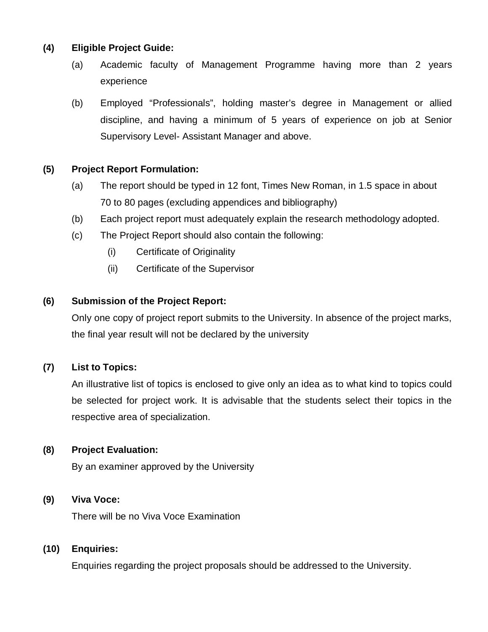#### **(4) Eligible Project Guide:**

- (a) Academic faculty of Management Programme having more than 2 years experience
- (b) Employed "Professionals", holding master's degree in Management or allied discipline, and having a minimum of 5 years of experience on job at Senior Supervisory Level- Assistant Manager and above.

#### **(5) Project Report Formulation:**

- (a) The report should be typed in 12 font, Times New Roman, in 1.5 space in about 70 to 80 pages (excluding appendices and bibliography)
- (b) Each project report must adequately explain the research methodology adopted.
- (c) The Project Report should also contain the following:
	- (i) Certificate of Originality
	- (ii) Certificate of the Supervisor

#### **(6) Submission of the Project Report:**

Only one copy of project report submits to the University. In absence of the project marks, the final year result will not be declared by the university

#### **(7) List to Topics:**

An illustrative list of topics is enclosed to give only an idea as to what kind to topics could be selected for project work. It is advisable that the students select their topics in the respective area of specialization.

#### **(8) Project Evaluation:**

By an examiner approved by the University

#### **(9) Viva Voce:**

There will be no Viva Voce Examination

#### **(10) Enquiries:**

Enquiries regarding the project proposals should be addressed to the University.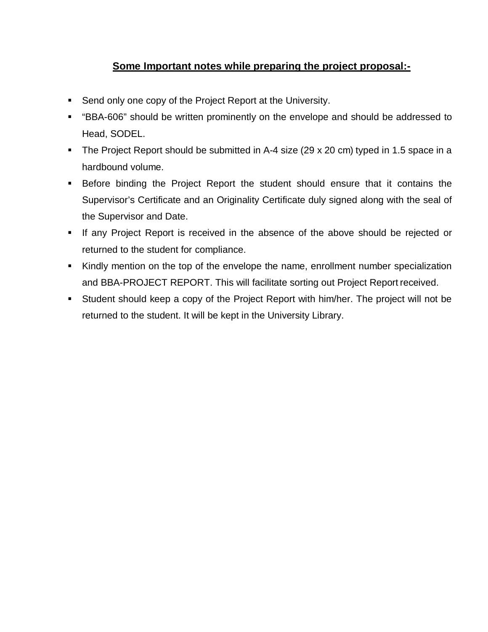#### **Some Important notes while preparing the project proposal:-**

- **Send only one copy of the Project Report at the University.**
- "BBA-606" should be written prominently on the envelope and should be addressed to Head, SODEL.
- The Project Report should be submitted in A-4 size (29 x 20 cm) typed in 1.5 space in a hardbound volume.
- Before binding the Project Report the student should ensure that it contains the Supervisor's Certificate and an Originality Certificate duly signed along with the seal of the Supervisor and Date.
- If any Project Report is received in the absence of the above should be rejected or returned to the student for compliance.
- Kindly mention on the top of the envelope the name, enrollment number specialization and BBA-PROJECT REPORT. This will facilitate sorting out Project Report received.
- Student should keep a copy of the Project Report with him/her. The project will not be returned to the student. It will be kept in the University Library.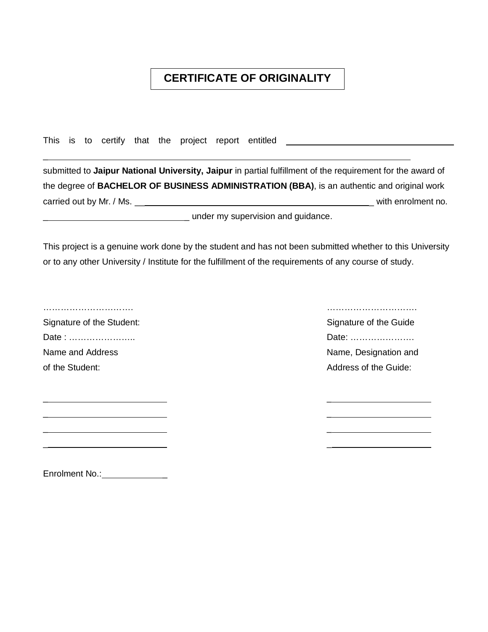### **CERTIFICATE OF ORIGINALITY**

This is to certify that the project report entitled \_\_\_\_\_\_\_\_\_\_\_\_\_\_\_\_\_\_\_\_\_\_\_\_\_\_\_\_

\_ \_

\_ \_

submitted to **Jaipur National University, Jaipur** in partial fulfillment of the requirement for the award of the degree of **BACHELOR OF BUSINESS ADMINISTRATION (BBA)**, is an authentic and original work carried out by Mr. / Ms. \_\_ \_ with enrolment no. **EXECUTE:** under my supervision and guidance.

This project is a genuine work done by the student and has not been submitted whether to this University or to any other University / Institute for the fulfillment of the requirements of any course of study.

 $\overline{a}$ 

Signature of the Student: Signature of the Guide Signature of the Guide Signature of the Guide Date : ………………….. Date: …………………. Name and Address Name, Designation and Name, Designation and

…………………………. …………………………. of the Student:  $\blacksquare$  Address of the Guide:

\_ \_ \_ \_

Enrolment No.: \_\_\_\_\_\_\_\_\_\_\_\_\_\_